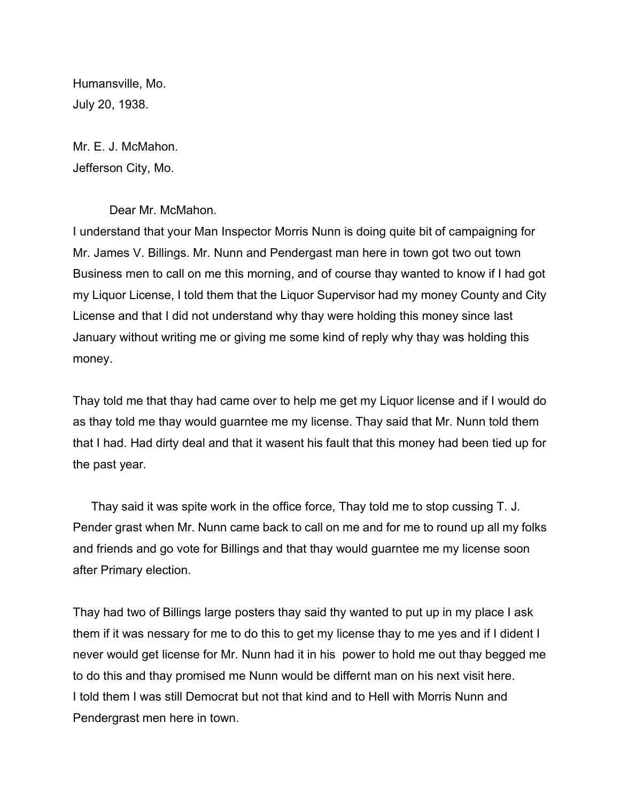Humansville, Mo. July 20, 1938.

Mr. E. J. McMahon. Jefferson City, Mo.

Dear Mr. McMahon.

I understand that your Man Inspector Morris Nunn is doing quite bit of campaigning for Mr. James V. Billings. Mr. Nunn and Pendergast man here in town got two out town Business men to call on me this morning, and of course thay wanted to know if I had got my Liquor License, I told them that the Liquor Supervisor had my money County and City License and that I did not understand why thay were holding this money since last January without writing me or giving me some kind of reply why thay was holding this money.

Thay told me that thay had came over to help me get my Liquor license and if I would do as thay told me thay would guarntee me my license. Thay said that Mr. Nunn told them that I had. Had dirty deal and that it wasent his fault that this money had been tied up for the past year.

Thay said it was spite work in the office force, Thay told me to stop cussing T. J. Pender grast when Mr. Nunn came back to call on me and for me to round up all my folks and friends and go vote for Billings and that thay would guarntee me my license soon after Primary election.

Thay had two of Billings large posters thay said thy wanted to put up in my place I ask them if it was nessary for me to do this to get my license thay to me yes and if I dident I never would get license for Mr. Nunn had it in his power to hold me out thay begged me to do this and thay promised me Nunn would be differnt man on his next visit here. I told them I was still Democrat but not that kind and to Hell with Morris Nunn and Pendergrast men here in town.